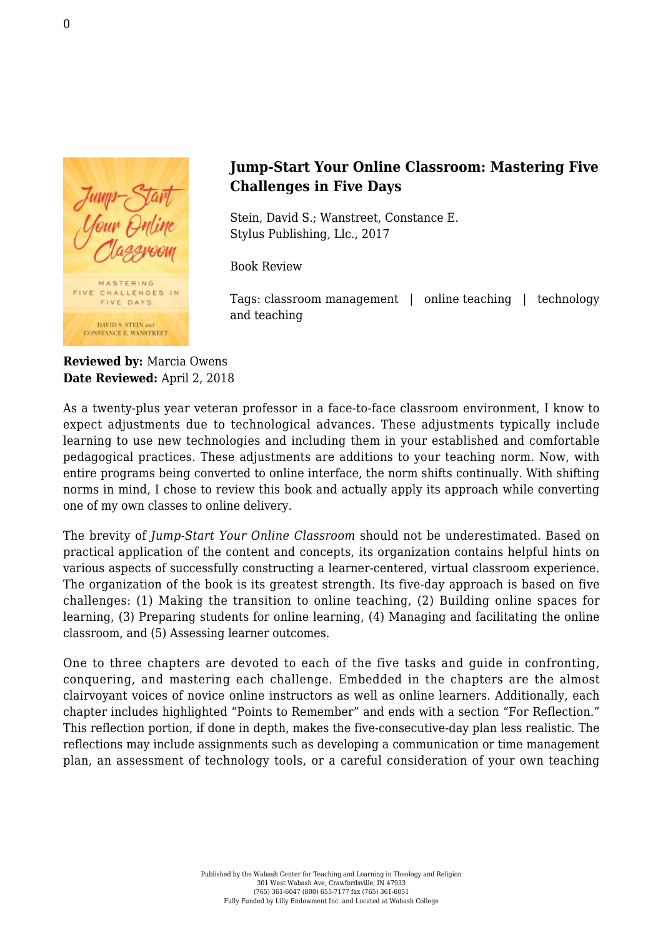

## **Jump-Start Your Online Classroom: Mastering Five Challenges in Five Days**

Stein, David S.; Wanstreet, Constance E. [Stylus Publishing, Llc., 2017](https://sty.presswarehouse.com/Books/BookDetail.aspx?productID=485423)

Book Review

Tags: classroom management | online teaching | technology and teaching

**Reviewed by:** Marcia Owens **Date Reviewed:** April 2, 2018

As a twenty-plus year veteran professor in a face-to-face classroom environment, I know to expect adjustments due to technological advances. These adjustments typically include learning to use new technologies and including them in your established and comfortable pedagogical practices. These adjustments are additions to your teaching norm. Now, with entire programs being converted to online interface, the norm shifts continually. With shifting norms in mind, I chose to review this book and actually apply its approach while converting one of my own classes to online delivery.

The brevity of *Jump-Start Your Online Classroom* should not be underestimated. Based on practical application of the content and concepts, its organization contains helpful hints on various aspects of successfully constructing a learner-centered, virtual classroom experience. The organization of the book is its greatest strength. Its five-day approach is based on five challenges: (1) Making the transition to online teaching, (2) Building online spaces for learning, (3) Preparing students for online learning, (4) Managing and facilitating the online classroom, and (5) Assessing learner outcomes.

One to three chapters are devoted to each of the five tasks and guide in confronting, conquering, and mastering each challenge. Embedded in the chapters are the almost clairvoyant voices of novice online instructors as well as online learners. Additionally, each chapter includes highlighted "Points to Remember" and ends with a section "For Reflection." This reflection portion, if done in depth, makes the five-consecutive-day plan less realistic. The reflections may include assignments such as developing a communication or time management plan, an assessment of technology tools, or a careful consideration of your own teaching